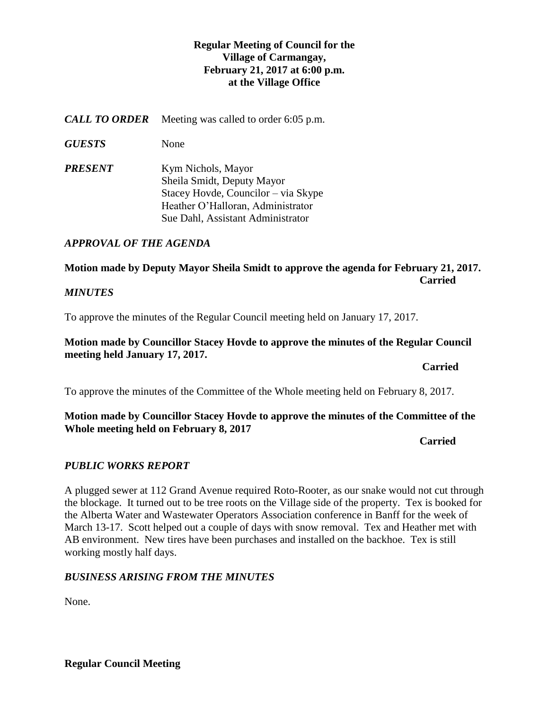# **Regular Meeting of Council for the Village of Carmangay, February 21, 2017 at 6:00 p.m. at the Village Office**

*CALL TO ORDER* Meeting was called to order 6:05 p.m.

*GUESTS* None

*PRESENT* Kym Nichols, Mayor Sheila Smidt, Deputy Mayor Stacey Hovde, Councilor – via Skype Heather O'Halloran, Administrator Sue Dahl, Assistant Administrator

## *APPROVAL OF THE AGENDA*

**Motion made by Deputy Mayor Sheila Smidt to approve the agenda for February 21, 2017. Carried** 

## *MINUTES*

To approve the minutes of the Regular Council meeting held on January 17, 2017.

## **Motion made by Councillor Stacey Hovde to approve the minutes of the Regular Council meeting held January 17, 2017.**

*Carried* 

To approve the minutes of the Committee of the Whole meeting held on February 8, 2017.

## **Motion made by Councillor Stacey Hovde to approve the minutes of the Committee of the Whole meeting held on February 8, 2017**

**Carried**

# *PUBLIC WORKS REPORT*

A plugged sewer at 112 Grand Avenue required Roto-Rooter, as our snake would not cut through the blockage. It turned out to be tree roots on the Village side of the property. Tex is booked for the Alberta Water and Wastewater Operators Association conference in Banff for the week of March 13-17. Scott helped out a couple of days with snow removal. Tex and Heather met with AB environment. New tires have been purchases and installed on the backhoe. Tex is still working mostly half days.

## *BUSINESS ARISING FROM THE MINUTES*

None.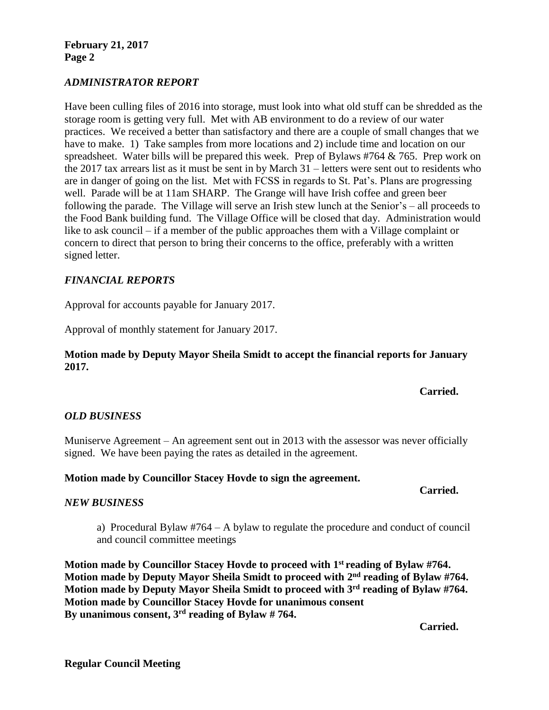**February 21, 2017 Page 2**

## *ADMINISTRATOR REPORT*

Have been culling files of 2016 into storage, must look into what old stuff can be shredded as the storage room is getting very full. Met with AB environment to do a review of our water practices. We received a better than satisfactory and there are a couple of small changes that we have to make. 1) Take samples from more locations and 2) include time and location on our spreadsheet. Water bills will be prepared this week. Prep of Bylaws #764 & 765. Prep work on the 2017 tax arrears list as it must be sent in by March 31 – letters were sent out to residents who are in danger of going on the list. Met with FCSS in regards to St. Pat's. Plans are progressing well. Parade will be at 11am SHARP. The Grange will have Irish coffee and green beer following the parade. The Village will serve an Irish stew lunch at the Senior's – all proceeds to the Food Bank building fund. The Village Office will be closed that day. Administration would like to ask council – if a member of the public approaches them with a Village complaint or concern to direct that person to bring their concerns to the office, preferably with a written signed letter.

## *FINANCIAL REPORTS*

Approval for accounts payable for January 2017.

Approval of monthly statement for January 2017.

## **Motion made by Deputy Mayor Sheila Smidt to accept the financial reports for January 2017.**

**Carried.**

## *OLD BUSINESS*

Muniserve Agreement – An agreement sent out in 2013 with the assessor was never officially signed. We have been paying the rates as detailed in the agreement.

## **Motion made by Councillor Stacey Hovde to sign the agreement.**

#### **Carried.**

## *NEW BUSINESS*

a) Procedural Bylaw #764 – A bylaw to regulate the procedure and conduct of council and council committee meetings

**Motion made by Councillor Stacey Hovde to proceed with 1st reading of Bylaw #764. Motion made by Deputy Mayor Sheila Smidt to proceed with 2 nd reading of Bylaw #764. Motion made by Deputy Mayor Sheila Smidt to proceed with 3rd reading of Bylaw #764. Motion made by Councillor Stacey Hovde for unanimous consent By unanimous consent, 3rd reading of Bylaw # 764.**

**Carried.**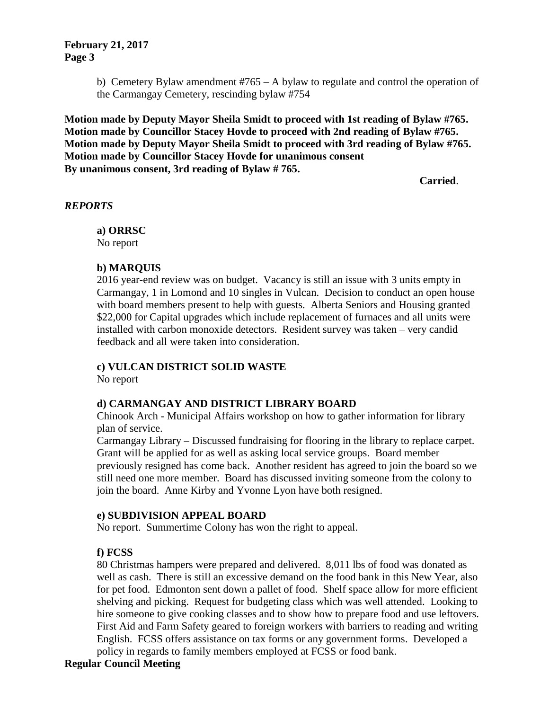## **February 21, 2017 Page 3**

b) Cemetery Bylaw amendment #765 – A bylaw to regulate and control the operation of the Carmangay Cemetery, rescinding bylaw #754

**Motion made by Deputy Mayor Sheila Smidt to proceed with 1st reading of Bylaw #765. Motion made by Councillor Stacey Hovde to proceed with 2nd reading of Bylaw #765. Motion made by Deputy Mayor Sheila Smidt to proceed with 3rd reading of Bylaw #765. Motion made by Councillor Stacey Hovde for unanimous consent By unanimous consent, 3rd reading of Bylaw # 765.**

**Carried**.

## *REPORTS*

**a) ORRSC** No report

## **b) MARQUIS**

2016 year-end review was on budget. Vacancy is still an issue with 3 units empty in Carmangay, 1 in Lomond and 10 singles in Vulcan. Decision to conduct an open house with board members present to help with guests. Alberta Seniors and Housing granted \$22,000 for Capital upgrades which include replacement of furnaces and all units were installed with carbon monoxide detectors. Resident survey was taken – very candid feedback and all were taken into consideration.

# **c) VULCAN DISTRICT SOLID WASTE**

No report

# **d) CARMANGAY AND DISTRICT LIBRARY BOARD**

Chinook Arch - Municipal Affairs workshop on how to gather information for library plan of service.

Carmangay Library – Discussed fundraising for flooring in the library to replace carpet. Grant will be applied for as well as asking local service groups. Board member previously resigned has come back. Another resident has agreed to join the board so we still need one more member. Board has discussed inviting someone from the colony to join the board. Anne Kirby and Yvonne Lyon have both resigned.

# **e) SUBDIVISION APPEAL BOARD**

No report. Summertime Colony has won the right to appeal.

# **f) FCSS**

80 Christmas hampers were prepared and delivered. 8,011 lbs of food was donated as well as cash. There is still an excessive demand on the food bank in this New Year, also for pet food. Edmonton sent down a pallet of food. Shelf space allow for more efficient shelving and picking. Request for budgeting class which was well attended. Looking to hire someone to give cooking classes and to show how to prepare food and use leftovers. First Aid and Farm Safety geared to foreign workers with barriers to reading and writing English. FCSS offers assistance on tax forms or any government forms. Developed a policy in regards to family members employed at FCSS or food bank.

# **Regular Council Meeting**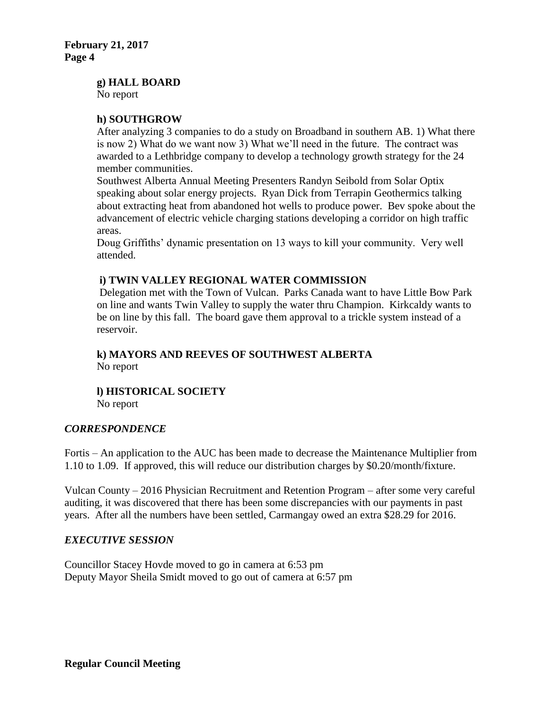**g) HALL BOARD**

No report

## **h) SOUTHGROW**

After analyzing 3 companies to do a study on Broadband in southern AB. 1) What there is now 2) What do we want now 3) What we'll need in the future. The contract was awarded to a Lethbridge company to develop a technology growth strategy for the 24 member communities.

Southwest Alberta Annual Meeting Presenters Randyn Seibold from Solar Optix speaking about solar energy projects. Ryan Dick from Terrapin Geothermics talking about extracting heat from abandoned hot wells to produce power. Bev spoke about the advancement of electric vehicle charging stations developing a corridor on high traffic areas.

Doug Griffiths' dynamic presentation on 13 ways to kill your community. Very well attended.

## **i) TWIN VALLEY REGIONAL WATER COMMISSION**

Delegation met with the Town of Vulcan. Parks Canada want to have Little Bow Park on line and wants Twin Valley to supply the water thru Champion. Kirkcaldy wants to be on line by this fall. The board gave them approval to a trickle system instead of a reservoir.

# **k) MAYORS AND REEVES OF SOUTHWEST ALBERTA** No report

# **l) HISTORICAL SOCIETY**

No report

# *CORRESPONDENCE*

Fortis – An application to the AUC has been made to decrease the Maintenance Multiplier from 1.10 to 1.09. If approved, this will reduce our distribution charges by \$0.20/month/fixture.

Vulcan County – 2016 Physician Recruitment and Retention Program – after some very careful auditing, it was discovered that there has been some discrepancies with our payments in past years. After all the numbers have been settled, Carmangay owed an extra \$28.29 for 2016.

# *EXECUTIVE SESSION*

Councillor Stacey Hovde moved to go in camera at 6:53 pm Deputy Mayor Sheila Smidt moved to go out of camera at 6:57 pm